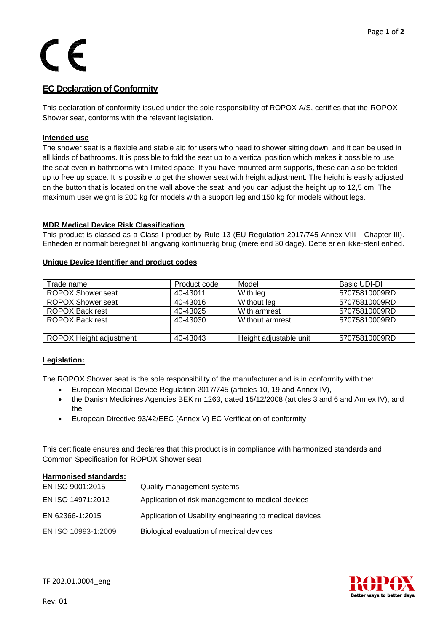# CE

# **EC Declaration of Conformity**

This declaration of conformity issued under the sole responsibility of ROPOX A/S, certifies that the ROPOX Shower seat, conforms with the relevant legislation.

### **Intended use**

The shower seat is a flexible and stable aid for users who need to shower sitting down, and it can be used in all kinds of bathrooms. It is possible to fold the seat up to a vertical position which makes it possible to use the seat even in bathrooms with limited space. If you have mounted arm supports, these can also be folded up to free up space. It is possible to get the shower seat with height adjustment. The height is easily adjusted on the button that is located on the wall above the seat, and you can adjust the height up to 12,5 cm. The maximum user weight is 200 kg for models with a support leg and 150 kg for models without legs.

### **MDR Medical Device Risk Classification**

This product is classed as a Class I product by Rule 13 (EU Regulation 2017/745 Annex VIII - Chapter III). Enheden er normalt beregnet til langvarig kontinuerlig brug (mere end 30 dage). Dette er en ikke-steril enhed.

## **Unique Device Identifier and product codes**

| Trade name               | Product code | Model                  | Basic UDI-DI  |
|--------------------------|--------------|------------------------|---------------|
| <b>ROPOX Shower seat</b> | 40-43011     | With leg               | 57075810009RD |
| <b>ROPOX Shower seat</b> | 40-43016     | Without leg            | 57075810009RD |
| ROPOX Back rest          | 40-43025     | With armrest           | 57075810009RD |
| ROPOX Back rest          | 40-43030     | Without armrest        | 57075810009RD |
|                          |              |                        |               |
| ROPOX Height adjustment  | 40-43043     | Height adjustable unit | 57075810009RD |

### **Legislation:**

The ROPOX Shower seat is the sole responsibility of the manufacturer and is in conformity with the:

- European Medical Device Regulation 2017/745 (articles 10, 19 and Annex IV),
- the Danish Medicines Agencies BEK nr 1263, dated 15/12/2008 (articles 3 and 6 and Annex IV), and the
- European Directive 93/42/EEC (Annex V) EC Verification of conformity

This certificate ensures and declares that this product is in compliance with harmonized standards and Common Specification for ROPOX Shower seat

| <b>Harmonised standards:</b> |                                                         |
|------------------------------|---------------------------------------------------------|
| EN ISO 9001:2015             | Quality management systems                              |
| EN ISO 14971:2012            | Application of risk management to medical devices       |
| EN 62366-1:2015              | Application of Usability engineering to medical devices |
| EN ISO 10993-1:2009          | Biological evaluation of medical devices                |



TF 202.01.0004\_eng